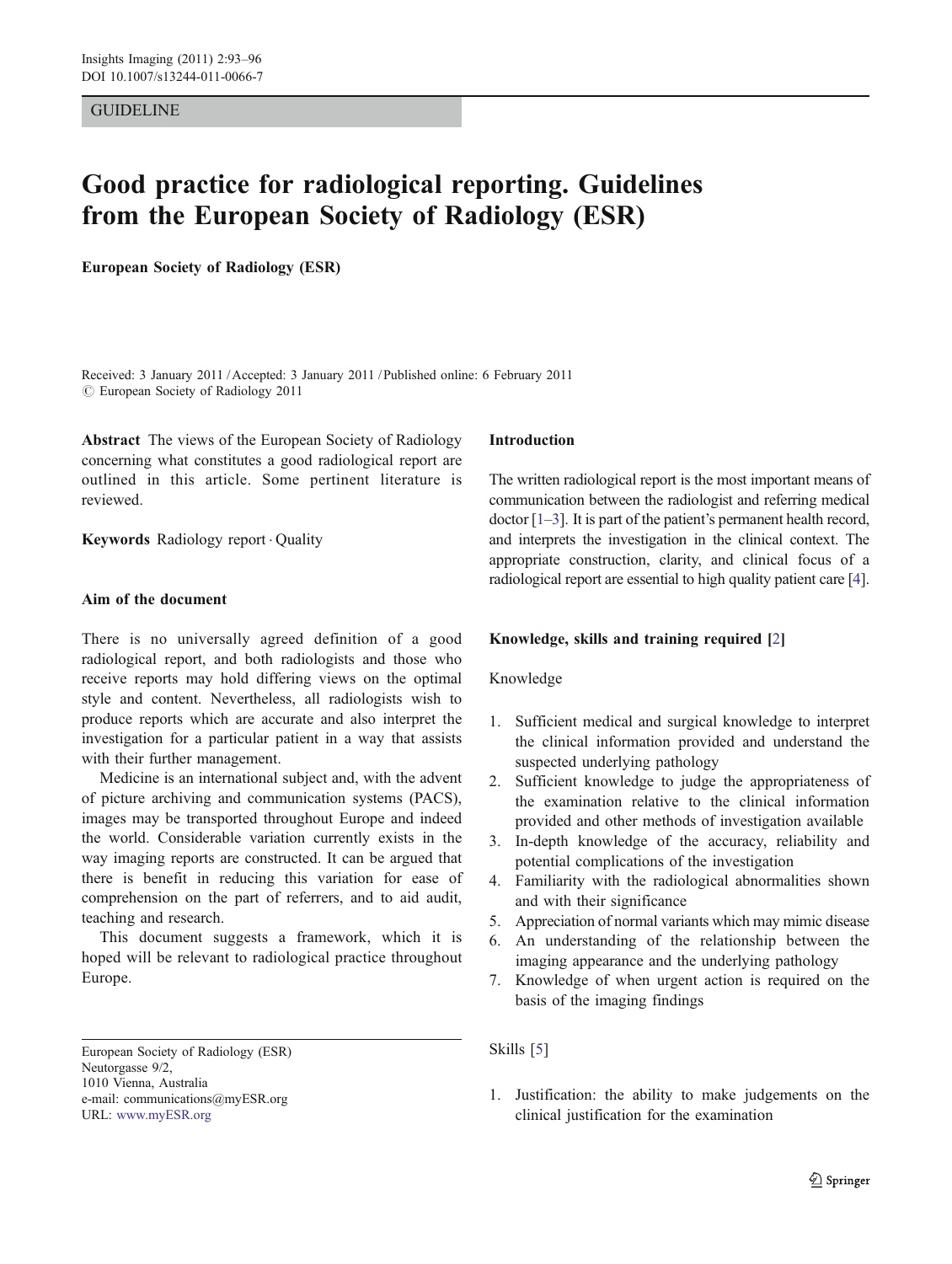# GUIDELINE

# Good practice for radiological reporting. Guidelines from the European Society of Radiology (ESR)

European Society of Radiology (ESR)

Received: 3 January 2011 /Accepted: 3 January 2011 / Published online: 6 February 2011  $\odot$  European Society of Radiology 2011

Abstract The views of the European Society of Radiology concerning what constitutes a good radiological report are outlined in this article. Some pertinent literature is reviewed.

Keywords Radiology report . Quality

# Aim of the document

There is no universally agreed definition of a good radiological report, and both radiologists and those who receive reports may hold differing views on the optimal style and content. Nevertheless, all radiologists wish to produce reports which are accurate and also interpret the investigation for a particular patient in a way that assists with their further management.

Medicine is an international subject and, with the advent of picture archiving and communication systems (PACS), images may be transported throughout Europe and indeed the world. Considerable variation currently exists in the way imaging reports are constructed. It can be argued that there is benefit in reducing this variation for ease of comprehension on the part of referrers, and to aid audit, teaching and research.

This document suggests a framework, which it is hoped will be relevant to radiological practice throughout Europe.

# Introduction

The written radiological report is the most important means of communication between the radiologist and referring medical doctor [[1](#page-3-0)–[3](#page-3-0)]. It is part of the patient's permanent health record, and interprets the investigation in the clinical context. The appropriate construction, clarity, and clinical focus of a radiological report are essential to high quality patient care [[4\]](#page-3-0).

# Knowledge, skills and training required [[2](#page-3-0)]

# Knowledge

- 1. Sufficient medical and surgical knowledge to interpret the clinical information provided and understand the suspected underlying pathology
- 2. Sufficient knowledge to judge the appropriateness of the examination relative to the clinical information provided and other methods of investigation available
- 3. In-depth knowledge of the accuracy, reliability and potential complications of the investigation
- 4. Familiarity with the radiological abnormalities shown and with their significance
- 5. Appreciation of normal variants which may mimic disease
- 6. An understanding of the relationship between the imaging appearance and the underlying pathology
- 7. Knowledge of when urgent action is required on the basis of the imaging findings

# Skills [\[5](#page-3-0)]

1. Justification: the ability to make judgements on the clinical justification for the examination

European Society of Radiology (ESR) Neutorgasse 9/2, 1010 Vienna, Australia e-mail: communications@myESR.org URL: [www.myESR.org](http://www.myESR.org)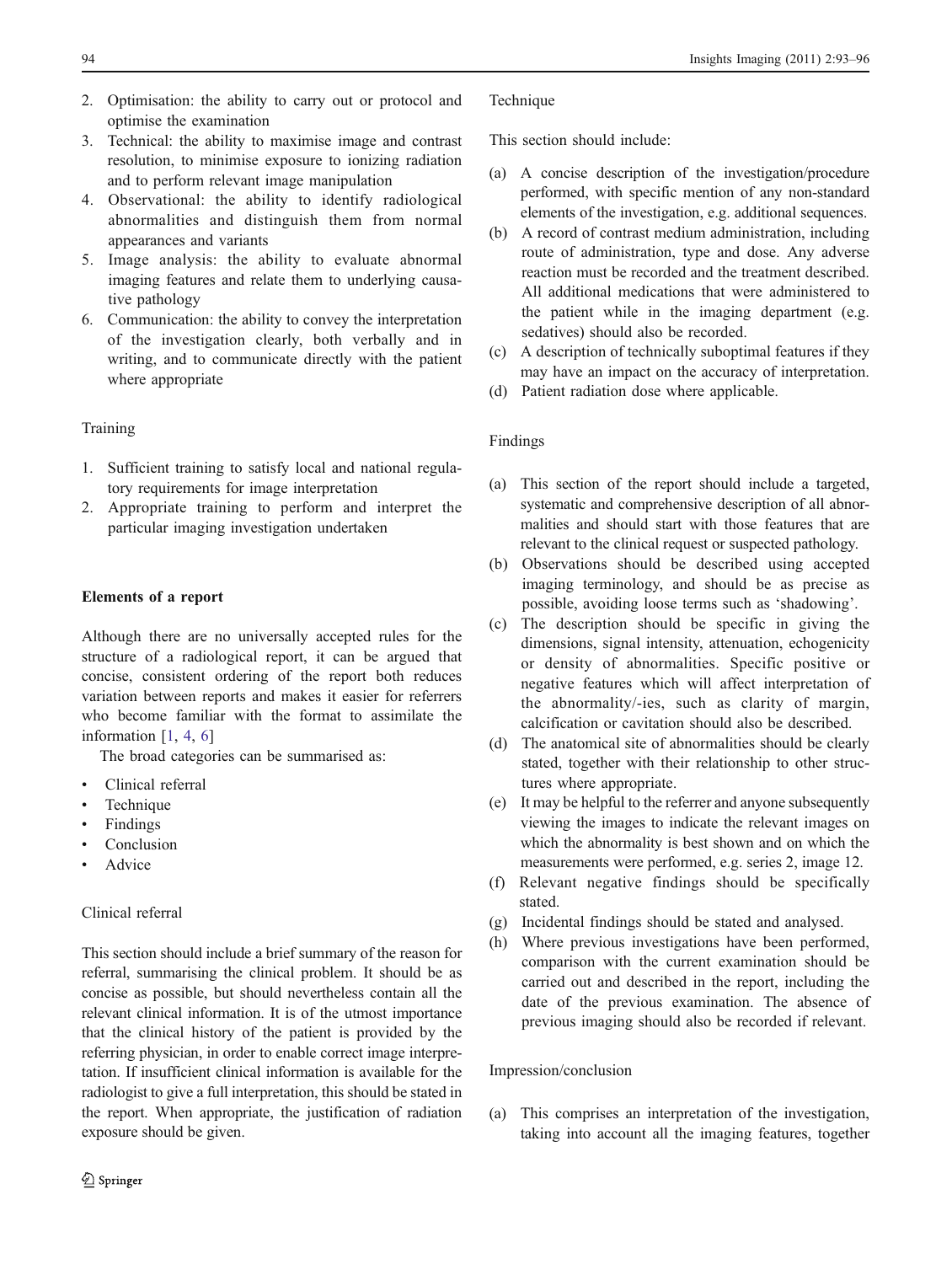- 2. Optimisation: the ability to carry out or protocol and optimise the examination
- 3. Technical: the ability to maximise image and contrast resolution, to minimise exposure to ionizing radiation and to perform relevant image manipulation
- 4. Observational: the ability to identify radiological abnormalities and distinguish them from normal appearances and variants
- 5. Image analysis: the ability to evaluate abnormal imaging features and relate them to underlying causative pathology
- 6. Communication: the ability to convey the interpretation of the investigation clearly, both verbally and in writing, and to communicate directly with the patient where appropriate

# Training

- 1. Sufficient training to satisfy local and national regulatory requirements for image interpretation
- 2. Appropriate training to perform and interpret the particular imaging investigation undertaken

# Elements of a report

Although there are no universally accepted rules for the structure of a radiological report, it can be argued that concise, consistent ordering of the report both reduces variation between reports and makes it easier for referrers who become familiar with the format to assimilate the information  $[1, 4, 6]$  $[1, 4, 6]$  $[1, 4, 6]$  $[1, 4, 6]$  $[1, 4, 6]$ 

The broad categories can be summarised as:

- Clinical referral
- **Technique**
- **Findings**
- Conclusion
- **Advice**

# Clinical referral

This section should include a brief summary of the reason for referral, summarising the clinical problem. It should be as concise as possible, but should nevertheless contain all the relevant clinical information. It is of the utmost importance that the clinical history of the patient is provided by the referring physician, in order to enable correct image interpretation. If insufficient clinical information is available for the radiologist to give a full interpretation, this should be stated in the report. When appropriate, the justification of radiation exposure should be given.

# **Technique**

This section should include:

- (a) A concise description of the investigation/procedure performed, with specific mention of any non-standard elements of the investigation, e.g. additional sequences.
- (b) A record of contrast medium administration, including route of administration, type and dose. Any adverse reaction must be recorded and the treatment described. All additional medications that were administered to the patient while in the imaging department (e.g. sedatives) should also be recorded.
- (c) A description of technically suboptimal features if they may have an impact on the accuracy of interpretation.
- (d) Patient radiation dose where applicable.

# Findings

- (a) This section of the report should include a targeted, systematic and comprehensive description of all abnormalities and should start with those features that are relevant to the clinical request or suspected pathology.
- (b) Observations should be described using accepted imaging terminology, and should be as precise as possible, avoiding loose terms such as 'shadowing'.
- (c) The description should be specific in giving the dimensions, signal intensity, attenuation, echogenicity or density of abnormalities. Specific positive or negative features which will affect interpretation of the abnormality/-ies, such as clarity of margin, calcification or cavitation should also be described.
- (d) The anatomical site of abnormalities should be clearly stated, together with their relationship to other structures where appropriate.
- (e) It may be helpful to the referrer and anyone subsequently viewing the images to indicate the relevant images on which the abnormality is best shown and on which the measurements were performed, e.g. series 2, image 12.
- (f) Relevant negative findings should be specifically stated.
- (g) Incidental findings should be stated and analysed.
- (h) Where previous investigations have been performed, comparison with the current examination should be carried out and described in the report, including the date of the previous examination. The absence of previous imaging should also be recorded if relevant.

# Impression/conclusion

(a) This comprises an interpretation of the investigation, taking into account all the imaging features, together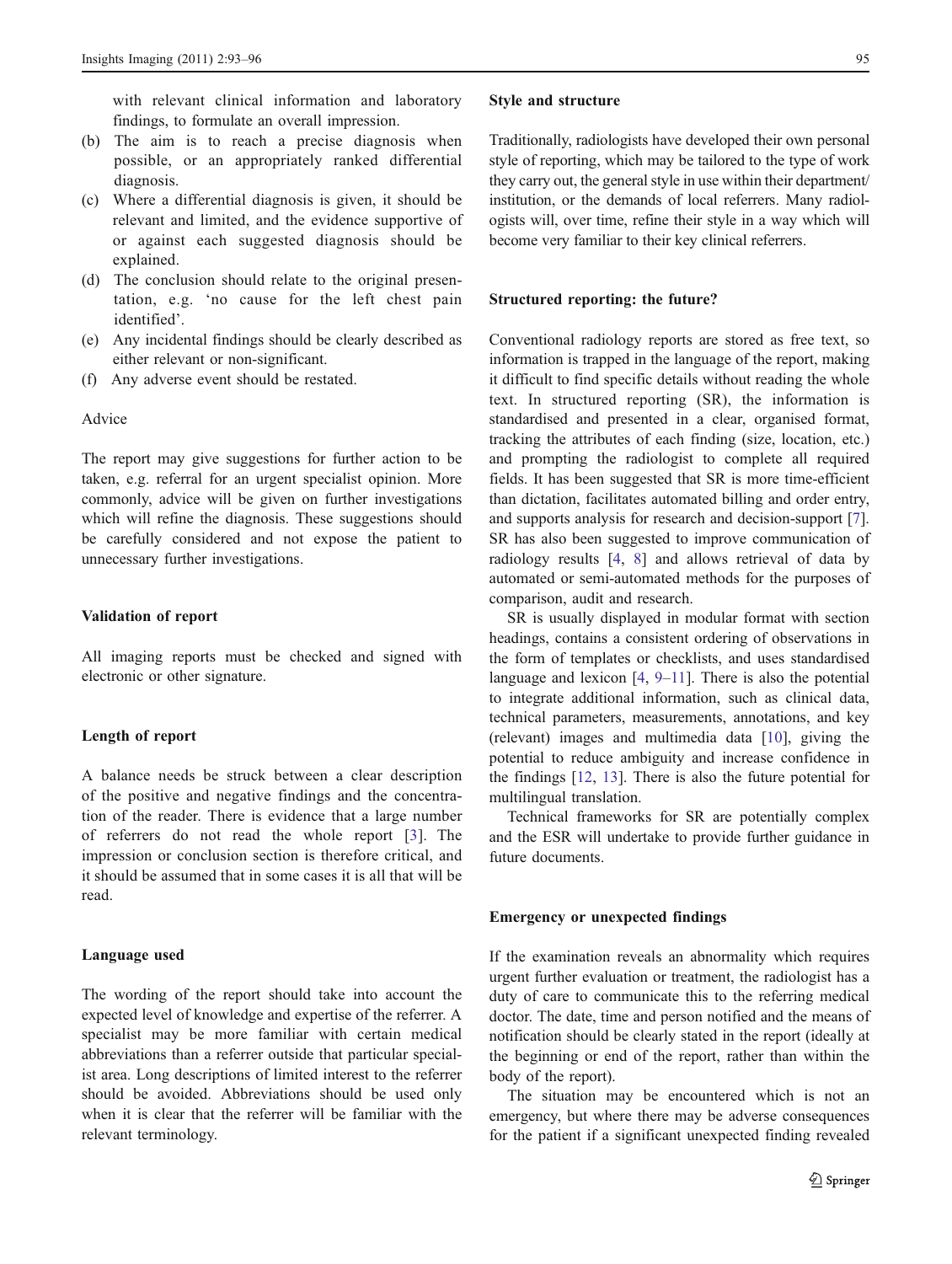with relevant clinical information and laboratory findings, to formulate an overall impression.

- (b) The aim is to reach a precise diagnosis when possible, or an appropriately ranked differential diagnosis.
- (c) Where a differential diagnosis is given, it should be relevant and limited, and the evidence supportive of or against each suggested diagnosis should be explained.
- (d) The conclusion should relate to the original presentation, e.g. 'no cause for the left chest pain identified'.
- (e) Any incidental findings should be clearly described as either relevant or non-significant.
- (f) Any adverse event should be restated.

# Advice

The report may give suggestions for further action to be taken, e.g. referral for an urgent specialist opinion. More commonly, advice will be given on further investigations which will refine the diagnosis. These suggestions should be carefully considered and not expose the patient to unnecessary further investigations.

## Validation of report

All imaging reports must be checked and signed with electronic or other signature.

#### Length of report

A balance needs be struck between a clear description of the positive and negative findings and the concentration of the reader. There is evidence that a large number of referrers do not read the whole report [\[3\]](#page-3-0). The impression or conclusion section is therefore critical, and it should be assumed that in some cases it is all that will be read.

#### Language used

The wording of the report should take into account the expected level of knowledge and expertise of the referrer. A specialist may be more familiar with certain medical abbreviations than a referrer outside that particular specialist area. Long descriptions of limited interest to the referrer should be avoided. Abbreviations should be used only when it is clear that the referrer will be familiar with the relevant terminology.

#### Style and structure

Traditionally, radiologists have developed their own personal style of reporting, which may be tailored to the type of work they carry out, the general style in use within their department/ institution, or the demands of local referrers. Many radiologists will, over time, refine their style in a way which will become very familiar to their key clinical referrers.

#### Structured reporting: the future?

Conventional radiology reports are stored as free text, so information is trapped in the language of the report, making it difficult to find specific details without reading the whole text. In structured reporting (SR), the information is standardised and presented in a clear, organised format, tracking the attributes of each finding (size, location, etc.) and prompting the radiologist to complete all required fields. It has been suggested that SR is more time-efficient than dictation, facilitates automated billing and order entry, and supports analysis for research and decision-support [[7\]](#page-3-0). SR has also been suggested to improve communication of radiology results [[4,](#page-3-0) [8](#page-3-0)] and allows retrieval of data by automated or semi-automated methods for the purposes of comparison, audit and research.

SR is usually displayed in modular format with section headings, contains a consistent ordering of observations in the form of templates or checklists, and uses standardised language and lexicon [[4,](#page-3-0) [9](#page-3-0)–[11](#page-3-0)]. There is also the potential to integrate additional information, such as clinical data, technical parameters, measurements, annotations, and key (relevant) images and multimedia data [[10\]](#page-3-0), giving the potential to reduce ambiguity and increase confidence in the findings [[12,](#page-3-0) [13\]](#page-3-0). There is also the future potential for multilingual translation.

Technical frameworks for SR are potentially complex and the ESR will undertake to provide further guidance in future documents.

#### Emergency or unexpected findings

If the examination reveals an abnormality which requires urgent further evaluation or treatment, the radiologist has a duty of care to communicate this to the referring medical doctor. The date, time and person notified and the means of notification should be clearly stated in the report (ideally at the beginning or end of the report, rather than within the body of the report).

The situation may be encountered which is not an emergency, but where there may be adverse consequences for the patient if a significant unexpected finding revealed